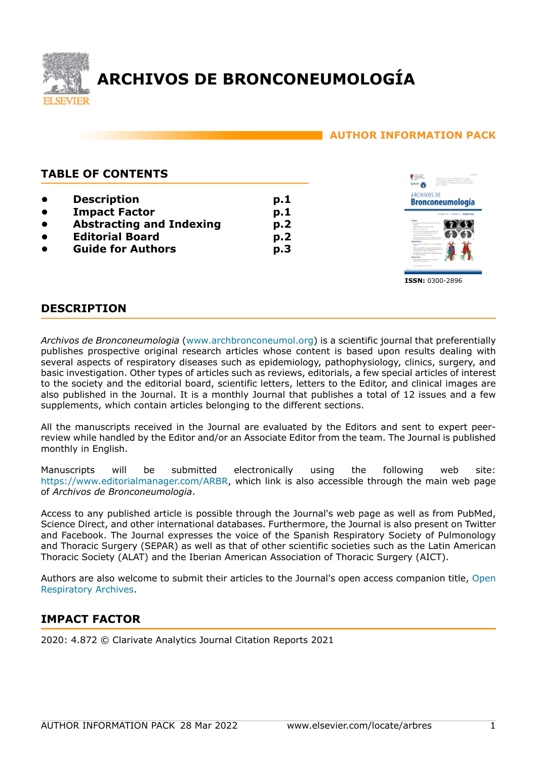

## **AUTHOR INFORMATION PACK**

#### **TABLE OF CONTENTS • [Description](#page-0-0) • [Impact Factor](#page-0-1) • [Abstracting and Indexing](#page-1-0) • [Editorial Board](#page-1-1) • [Guide for Authors](#page-2-0) p.1 p.1 p.2 p.2 p.3**



# <span id="page-0-0"></span>**DESCRIPTION**

SEVIER

*Archivos de Bronconeumologia* ([www.archbronconeumol.org\)](https://www.archbronconeumol.org) is a scientific journal that preferentially publishes prospective original research articles whose content is based upon results dealing with several aspects of respiratory diseases such as epidemiology, pathophysiology, clinics, surgery, and basic investigation. Other types of articles such as reviews, editorials, a few special articles of interest to the society and the editorial board, scientific letters, letters to the Editor, and clinical images are also published in the Journal. It is a monthly Journal that publishes a total of 12 issues and a few supplements, which contain articles belonging to the different sections.

All the manuscripts received in the Journal are evaluated by the Editors and sent to expert peerreview while handled by the Editor and/or an Associate Editor from the team. The Journal is published monthly in English.

Manuscripts will be submitted electronically using the following web site: https://www.editorialmanager.com/ARBR, which link is also accessible through the main web page of *Archivos de Bronconeumologia*.

Access to any published article is possible through the Journal's web page as well as from PubMed, Science Direct, and other international databases. Furthermore, the Journal is also present on Twitter and Facebook. The Journal expresses the voice of the Spanish Respiratory Society of Pulmonology and Thoracic Surgery (SEPAR) as well as that of other scientific societies such as the Latin American Thoracic Society (ALAT) and the Iberian American Association of Thoracic Surgery (AICT).

Authors are also welcome to submit their articles to the Journal's open access companion title, [Open](https://www.sciencedirect.com/journal/open-respiratory-archives) [Respiratory Archives](https://www.sciencedirect.com/journal/open-respiratory-archives).

# <span id="page-0-1"></span>**IMPACT FACTOR**

2020: 4.872 © Clarivate Analytics Journal Citation Reports 2021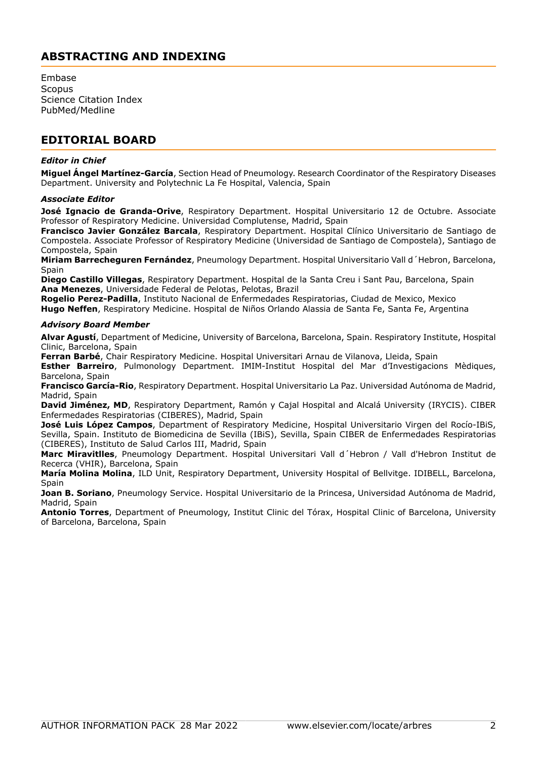# <span id="page-1-0"></span>**ABSTRACTING AND INDEXING**

Embase **Scopus** Science Citation Index PubMed/Medline

# <span id="page-1-1"></span>**EDITORIAL BOARD**

## *Editor in Chief*

**Miguel Ángel Martínez-García**, Section Head of Pneumology. Research Coordinator of the Respiratory Diseases Department. University and Polytechnic La Fe Hospital, Valencia, Spain

#### *Associate Editor*

**José Ignacio de Granda-Orive**, Respiratory Department. Hospital Universitario 12 de Octubre. Associate Professor of Respiratory Medicine. Universidad Complutense, Madrid, Spain

**Francisco Javier González Barcala**, Respiratory Department. Hospital Clínico Universitario de Santiago de Compostela. Associate Professor of Respiratory Medicine (Universidad de Santiago de Compostela), Santiago de Compostela, Spain

**Miriam Barrecheguren Fernández**, Pneumology Department. Hospital Universitario Vall d´Hebron, Barcelona, Spain

**Diego Castillo Villegas**, Respiratory Department. Hospital de la Santa Creu i Sant Pau, Barcelona, Spain **Ana Menezes**, Universidade Federal de Pelotas, Pelotas, Brazil

**Rogelio Perez-Padilla**, Instituto Nacional de Enfermedades Respiratorias, Ciudad de Mexico, Mexico **Hugo Neffen**, Respiratory Medicine. Hospital de Niños Orlando Alassia de Santa Fe, Santa Fe, Argentina

#### *Advisory Board Member*

**Alvar Agustí**, Department of Medicine, University of Barcelona, Barcelona, Spain. Respiratory Institute, Hospital Clinic, Barcelona, Spain

**Ferran Barbé**, Chair Respiratory Medicine. Hospital Universitari Arnau de Vilanova, Lleida, Spain

**Esther Barreiro**, Pulmonology Department. IMIM-Institut Hospital del Mar d'Investigacions Mèdiques, Barcelona, Spain

**Francisco García-Rio**, Respiratory Department. Hospital Universitario La Paz. Universidad Autónoma de Madrid, Madrid, Spain

**David Jiménez, MD**, Respiratory Department, Ramón y Cajal Hospital and Alcalá University (IRYCIS). CIBER Enfermedades Respiratorias (CIBERES), Madrid, Spain

**José Luis López Campos**, Department of Respiratory Medicine, Hospital Universitario Virgen del Rocío-IBiS, Sevilla, Spain. Instituto de Biomedicina de Sevilla (IBiS), Sevilla, Spain CIBER de Enfermedades Respiratorias (CIBERES), Instituto de Salud Carlos III, Madrid, Spain

**Marc Miravitlles**, Pneumology Department. Hospital Universitari Vall d´Hebron / Vall d'Hebron Institut de Recerca (VHIR), Barcelona, Spain

**María Molina Molina**, ILD Unit, Respiratory Department, University Hospital of Bellvitge. IDIBELL, Barcelona, Spain

**Joan B. Soriano**, Pneumology Service. Hospital Universitario de la Princesa, Universidad Autónoma de Madrid, Madrid, Spain

**Antonio Torres**, Department of Pneumology, Institut Clinic del Tórax, Hospital Clinic of Barcelona, University of Barcelona, Barcelona, Spain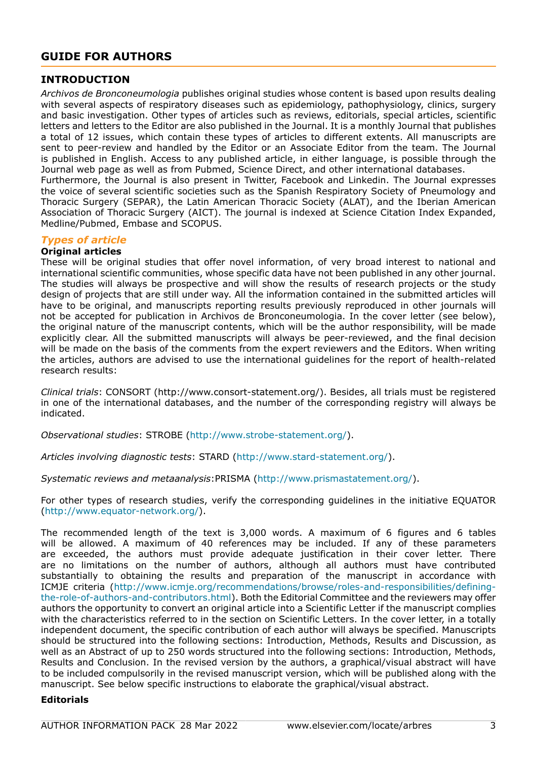# <span id="page-2-0"></span>**GUIDE FOR AUTHORS**

## **INTRODUCTION**

*Archivos de Bronconeumologia* publishes original studies whose content is based upon results dealing with several aspects of respiratory diseases such as epidemiology, pathophysiology, clinics, surgery and basic investigation. Other types of articles such as reviews, editorials, special articles, scientific letters and letters to the Editor are also published in the Journal. It is a monthly Journal that publishes a total of 12 issues, which contain these types of articles to different extents. All manuscripts are sent to peer-review and handled by the Editor or an Associate Editor from the team. The Journal is published in English. Access to any published article, in either language, is possible through the Journal web page as well as from Pubmed, Science Direct, and other international databases.

Furthermore, the Journal is also present in Twitter, Facebook and Linkedin. The Journal expresses the voice of several scientific societies such as the Spanish Respiratory Society of Pneumology and Thoracic Surgery (SEPAR), the Latin American Thoracic Society (ALAT), and the Iberian American Association of Thoracic Surgery (AICT). The journal is indexed at Science Citation Index Expanded, Medline/Pubmed, Embase and SCOPUS.

## *Types of article*

## **Original articles**

These will be original studies that offer novel information, of very broad interest to national and international scientific communities, whose specific data have not been published in any other journal. The studies will always be prospective and will show the results of research projects or the study design of projects that are still under way. All the information contained in the submitted articles will have to be original, and manuscripts reporting results previously reproduced in other journals will not be accepted for publication in Archivos de Bronconeumologia. In the cover letter (see below), the original nature of the manuscript contents, which will be the author responsibility, will be made explicitly clear. All the submitted manuscripts will always be peer-reviewed, and the final decision will be made on the basis of the comments from the expert reviewers and the Editors. When writing the articles, authors are advised to use the international guidelines for the report of health-related research results:

*Clinical trials*: CONSORT (http://www.consort-statement.org/). Besides, all trials must be registered in one of the international databases, and the number of the corresponding registry will always be indicated.

*Observational studies*: STROBE (<http://www.strobe-statement.org/>).

*Articles involving diagnostic tests*: STARD (<http://www.stard-statement.org/>).

*Systematic reviews and metaanalysis*:PRISMA (<http://www.prismastatement.org/>).

For other types of research studies, verify the corresponding guidelines in the initiative EQUATOR (<http://www.equator-network.org/>).

The recommended length of the text is 3,000 words. A maximum of 6 figures and 6 tables will be allowed. A maximum of 40 references may be included. If any of these parameters are exceeded, the authors must provide adequate justification in their cover letter. There are no limitations on the number of authors, although all authors must have contributed substantially to obtaining the results and preparation of the manuscript in accordance with ICMJE criteria [\(http://www.icmje.org/recommendations/browse/roles-and-responsibilities/defining](http://www.icmje.org/recommendations/browse/roles-and-responsibilities/defining-the-role-of-authors-and-contributors.html)[the-role-of-authors-and-contributors.html](http://www.icmje.org/recommendations/browse/roles-and-responsibilities/defining-the-role-of-authors-and-contributors.html)). Both the Editorial Committee and the reviewers may offer authors the opportunity to convert an original article into a Scientific Letter if the manuscript complies with the characteristics referred to in the section on Scientific Letters. In the cover letter, in a totally independent document, the specific contribution of each author will always be specified. Manuscripts should be structured into the following sections: Introduction, Methods, Results and Discussion, as well as an Abstract of up to 250 words structured into the following sections: Introduction, Methods, Results and Conclusion. In the revised version by the authors, a graphical/visual abstract will have to be included compulsorily in the revised manuscript version, which will be published along with the manuscript. See below specific instructions to elaborate the graphical/visual abstract.

## **Editorials**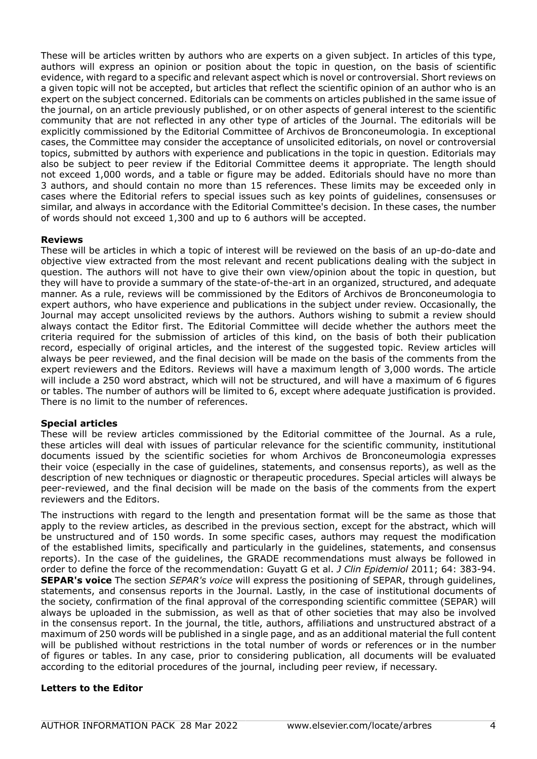These will be articles written by authors who are experts on a given subject. In articles of this type, authors will express an opinion or position about the topic in question, on the basis of scientific evidence, with regard to a specific and relevant aspect which is novel or controversial. Short reviews on a given topic will not be accepted, but articles that reflect the scientific opinion of an author who is an expert on the subject concerned. Editorials can be comments on articles published in the same issue of the journal, on an article previously published, or on other aspects of general interest to the scientific community that are not reflected in any other type of articles of the Journal. The editorials will be explicitly commissioned by the Editorial Committee of Archivos de Bronconeumologia. In exceptional cases, the Committee may consider the acceptance of unsolicited editorials, on novel or controversial topics, submitted by authors with experience and publications in the topic in question. Editorials may also be subject to peer review if the Editorial Committee deems it appropriate. The length should not exceed 1,000 words, and a table or figure may be added. Editorials should have no more than 3 authors, and should contain no more than 15 references. These limits may be exceeded only in cases where the Editorial refers to special issues such as key points of guidelines, consensuses or similar, and always in accordance with the Editorial Committee's decision. In these cases, the number of words should not exceed 1,300 and up to 6 authors will be accepted.

## **Reviews**

These will be articles in which a topic of interest will be reviewed on the basis of an up-do-date and objective view extracted from the most relevant and recent publications dealing with the subject in question. The authors will not have to give their own view/opinion about the topic in question, but they will have to provide a summary of the state-of-the-art in an organized, structured, and adequate manner. As a rule, reviews will be commissioned by the Editors of Archivos de Bronconeumologia to expert authors, who have experience and publications in the subject under review. Occasionally, the Journal may accept unsolicited reviews by the authors. Authors wishing to submit a review should always contact the Editor first. The Editorial Committee will decide whether the authors meet the criteria required for the submission of articles of this kind, on the basis of both their publication record, especially of original articles, and the interest of the suggested topic. Review articles will always be peer reviewed, and the final decision will be made on the basis of the comments from the expert reviewers and the Editors. Reviews will have a maximum length of 3,000 words. The article will include a 250 word abstract, which will not be structured, and will have a maximum of 6 figures or tables. The number of authors will be limited to 6, except where adequate justification is provided. There is no limit to the number of references.

## **Special articles**

These will be review articles commissioned by the Editorial committee of the Journal. As a rule, these articles will deal with issues of particular relevance for the scientific community, institutional documents issued by the scientific societies for whom Archivos de Bronconeumologia expresses their voice (especially in the case of guidelines, statements, and consensus reports), as well as the description of new techniques or diagnostic or therapeutic procedures. Special articles will always be peer-reviewed, and the final decision will be made on the basis of the comments from the expert reviewers and the Editors.

The instructions with regard to the length and presentation format will be the same as those that apply to the review articles, as described in the previous section, except for the abstract, which will be unstructured and of 150 words. In some specific cases, authors may request the modification of the established limits, specifically and particularly in the guidelines, statements, and consensus reports). In the case of the guidelines, the GRADE recommendations must always be followed in order to define the force of the recommendation: Guyatt G et al. *J Clin Epidemiol* 2011; 64: 383-94. **SEPAR's voice** The section *SEPAR's voice* will express the positioning of SEPAR, through guidelines, statements, and consensus reports in the Journal. Lastly, in the case of institutional documents of the society, confirmation of the final approval of the corresponding scientific committee (SEPAR) will always be uploaded in the submission, as well as that of other societies that may also be involved in the consensus report. In the journal, the title, authors, affiliations and unstructured abstract of a maximum of 250 words will be published in a single page, and as an additional material the full content will be published without restrictions in the total number of words or references or in the number of figures or tables. In any case, prior to considering publication, all documents will be evaluated according to the editorial procedures of the journal, including peer review, if necessary.

## **Letters to the Editor**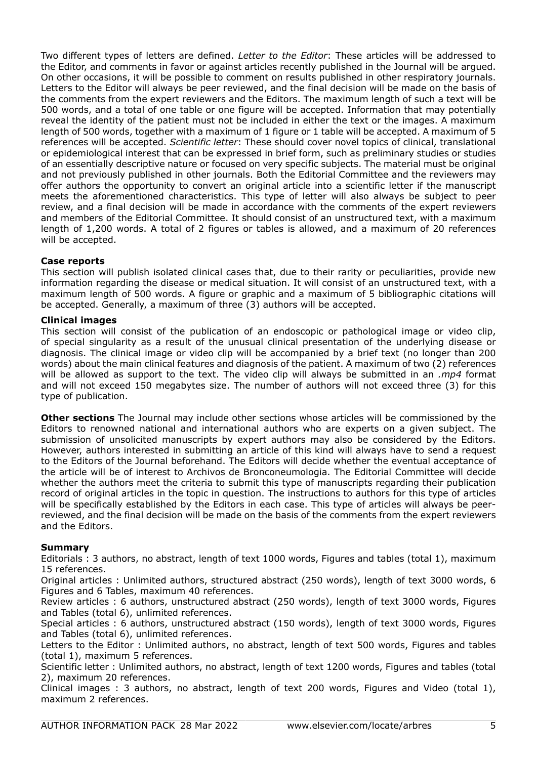Two different types of letters are defined. *Letter to the Editor*: These articles will be addressed to the Editor, and comments in favor or against articles recently published in the Journal will be argued. On other occasions, it will be possible to comment on results published in other respiratory journals. Letters to the Editor will always be peer reviewed, and the final decision will be made on the basis of the comments from the expert reviewers and the Editors. The maximum length of such a text will be 500 words, and a total of one table or one figure will be accepted. Information that may potentially reveal the identity of the patient must not be included in either the text or the images. A maximum length of 500 words, together with a maximum of 1 figure or 1 table will be accepted. A maximum of 5 references will be accepted. *Scientific letter*: These should cover novel topics of clinical, translational or epidemiological interest that can be expressed in brief form, such as preliminary studies or studies of an essentially descriptive nature or focused on very specific subjects. The material must be original and not previously published in other journals. Both the Editorial Committee and the reviewers may offer authors the opportunity to convert an original article into a scientific letter if the manuscript meets the aforementioned characteristics. This type of letter will also always be subject to peer review, and a final decision will be made in accordance with the comments of the expert reviewers and members of the Editorial Committee. It should consist of an unstructured text, with a maximum length of 1,200 words. A total of 2 figures or tables is allowed, and a maximum of 20 references will be accepted.

## **Case reports**

This section will publish isolated clinical cases that, due to their rarity or peculiarities, provide new information regarding the disease or medical situation. It will consist of an unstructured text, with a maximum length of 500 words. A figure or graphic and a maximum of 5 bibliographic citations will be accepted. Generally, a maximum of three (3) authors will be accepted.

## **Clinical images**

This section will consist of the publication of an endoscopic or pathological image or video clip, of special singularity as a result of the unusual clinical presentation of the underlying disease or diagnosis. The clinical image or video clip will be accompanied by a brief text (no longer than 200 words) about the main clinical features and diagnosis of the patient. A maximum of two (2) references will be allowed as support to the text. The video clip will always be submitted in an *.mp4* format and will not exceed 150 megabytes size. The number of authors will not exceed three (3) for this type of publication.

**Other sections** The Journal may include other sections whose articles will be commissioned by the Editors to renowned national and international authors who are experts on a given subject. The submission of unsolicited manuscripts by expert authors may also be considered by the Editors. However, authors interested in submitting an article of this kind will always have to send a request to the Editors of the Journal beforehand. The Editors will decide whether the eventual acceptance of the article will be of interest to Archivos de Bronconeumologia. The Editorial Committee will decide whether the authors meet the criteria to submit this type of manuscripts regarding their publication record of original articles in the topic in question. The instructions to authors for this type of articles will be specifically established by the Editors in each case. This type of articles will always be peerreviewed, and the final decision will be made on the basis of the comments from the expert reviewers and the Editors.

## **Summary**

Editorials : 3 authors, no abstract, length of text 1000 words, Figures and tables (total 1), maximum 15 references.

Original articles : Unlimited authors, structured abstract (250 words), length of text 3000 words, 6 Figures and 6 Tables, maximum 40 references.

Review articles : 6 authors, unstructured abstract (250 words), length of text 3000 words, Figures and Tables (total 6), unlimited references.

Special articles : 6 authors, unstructured abstract (150 words), length of text 3000 words, Figures and Tables (total 6), unlimited references.

Letters to the Editor : Unlimited authors, no abstract, length of text 500 words, Figures and tables (total 1), maximum 5 references.

Scientific letter : Unlimited authors, no abstract, length of text 1200 words, Figures and tables (total 2), maximum 20 references.

Clinical images : 3 authors, no abstract, length of text 200 words, Figures and Video (total 1), maximum 2 references.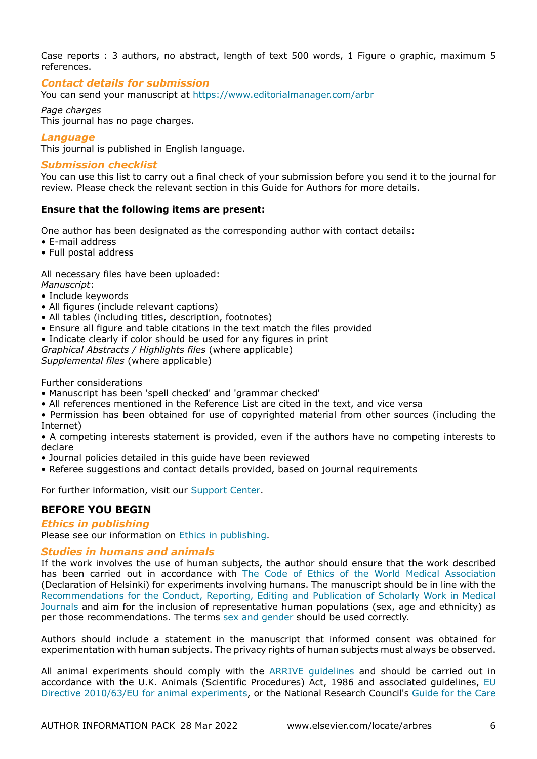Case reports : 3 authors, no abstract, length of text 500 words, 1 Figure o graphic, maximum 5 references.

## *Contact details for submission*

You can send your manuscript at [https://www.editorialmanager.com/arbr](https://www.editorialmanager.com/)

*Page charges* This journal has no page charges.

### *Language*

This journal is published in English language.

### *Submission checklist*

You can use this list to carry out a final check of your submission before you send it to the journal for review. Please check the relevant section in this Guide for Authors for more details.

#### **Ensure that the following items are present:**

One author has been designated as the corresponding author with contact details:

- E-mail address
- Full postal address

All necessary files have been uploaded: *Manuscript*:

- Include keywords
- All figures (include relevant captions)
- All tables (including titles, description, footnotes)
- Ensure all figure and table citations in the text match the files provided
- Indicate clearly if color should be used for any figures in print
- *Graphical Abstracts / Highlights files* (where applicable)

*Supplemental files* (where applicable)

Further considerations

- Manuscript has been 'spell checked' and 'grammar checked'
- All references mentioned in the Reference List are cited in the text, and vice versa

• Permission has been obtained for use of copyrighted material from other sources (including the Internet)

• A competing interests statement is provided, even if the authors have no competing interests to declare

- Journal policies detailed in this guide have been reviewed
- Referee suggestions and contact details provided, based on journal requirements

For further information, visit our [Support Center.](https://service.elsevier.com/app/home/supporthub/publishing/)

## **BEFORE YOU BEGIN**

## *Ethics in publishing*

Please see our information on [Ethics in publishing](https://www.elsevier.com/about/policies/publishing-ethics#Authors).

## *Studies in humans and animals*

If the work involves the use of human subjects, the author should ensure that the work described has been carried out in accordance with [The Code of Ethics of the World Medical Association](https://www.wma.net/policies-post/wma-declaration-of-helsinki-ethical-principles-for-medical-research-involving-human-subjects/) (Declaration of Helsinki) for experiments involving humans. The manuscript should be in line with the [Recommendations for the Conduct, Reporting, Editing and Publication of Scholarly Work in Medical](http://www.icmje.org/recommendations/) [Journals](http://www.icmje.org/recommendations/) and aim for the inclusion of representative human populations (sex, age and ethnicity) as per those recommendations. The terms [sex and gender](https://www.who.int/gender-equity-rights/understanding/gender-definition/en/) should be used correctly.

Authors should include a statement in the manuscript that informed consent was obtained for experimentation with human subjects. The privacy rights of human subjects must always be observed.

All animal experiments should comply with the [ARRIVE guidelines](https://www.nc3rs.org.uk/arrive-guidelines) and should be carried out in accordance with the U.K. Animals (Scientific Procedures) Act, 1986 and associated guidelines, [EU](https://ec.europa.eu/environment/chemicals/lab_animals/legislation_en.htm) [Directive 2010/63/EU for animal experiments](https://ec.europa.eu/environment/chemicals/lab_animals/legislation_en.htm), or the National Research Council's [Guide for the Care](https://grants.nih.gov/grants/olaw/guide-for-the-care-and-use-of-laboratory-animals.pdf)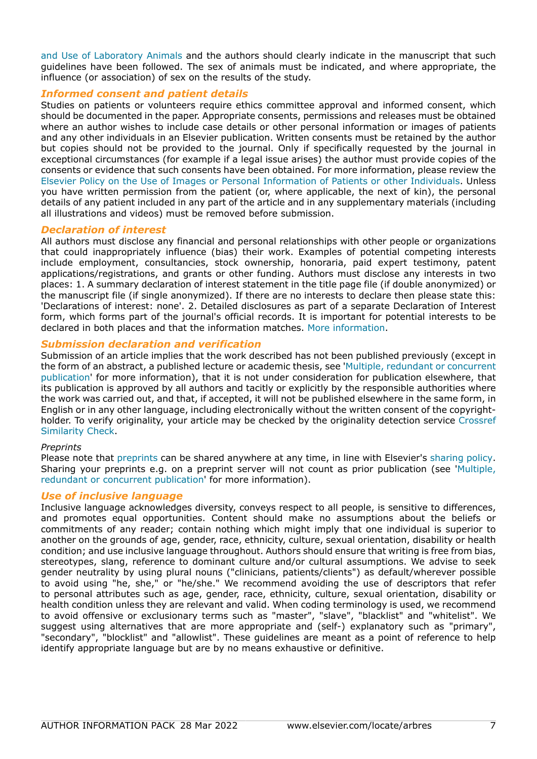[and Use of Laboratory Animals](https://grants.nih.gov/grants/olaw/guide-for-the-care-and-use-of-laboratory-animals.pdf) and the authors should clearly indicate in the manuscript that such guidelines have been followed. The sex of animals must be indicated, and where appropriate, the influence (or association) of sex on the results of the study.

## *Informed consent and patient details*

Studies on patients or volunteers require ethics committee approval and informed consent, which should be documented in the paper. Appropriate consents, permissions and releases must be obtained where an author wishes to include case details or other personal information or images of patients and any other individuals in an Elsevier publication. Written consents must be retained by the author but copies should not be provided to the journal. Only if specifically requested by the journal in exceptional circumstances (for example if a legal issue arises) the author must provide copies of the consents or evidence that such consents have been obtained. For more information, please review the [Elsevier Policy on the Use of Images or Personal Information of Patients or other Individuals.](https://www.elsevier.com/about/policies/patient-consent) Unless you have written permission from the patient (or, where applicable, the next of kin), the personal details of any patient included in any part of the article and in any supplementary materials (including all illustrations and videos) must be removed before submission.

## *Declaration of interest*

All authors must disclose any financial and personal relationships with other people or organizations that could inappropriately influence (bias) their work. Examples of potential competing interests include employment, consultancies, stock ownership, honoraria, paid expert testimony, patent applications/registrations, and grants or other funding. Authors must disclose any interests in two places: 1. A summary declaration of interest statement in the title page file (if double anonymized) or the manuscript file (if single anonymized). If there are no interests to declare then please state this: 'Declarations of interest: none'. 2. Detailed disclosures as part of a separate Declaration of Interest form, which forms part of the journal's official records. It is important for potential interests to be declared in both places and that the information matches. [More information.](https://service.elsevier.com/app/answers/detail/a_id/286/supporthub/publishing/)

## *Submission declaration and verification*

Submission of an article implies that the work described has not been published previously (except in the form of an abstract, a published lecture or academic thesis, see '[Multiple, redundant or concurrent](https://www.elsevier.com/about/policies/publishing-ethics#Authors) [publication](https://www.elsevier.com/about/policies/publishing-ethics#Authors)' for more information), that it is not under consideration for publication elsewhere, that its publication is approved by all authors and tacitly or explicitly by the responsible authorities where the work was carried out, and that, if accepted, it will not be published elsewhere in the same form, in English or in any other language, including electronically without the written consent of the copyrightholder. To verify originality, your article may be checked by the originality detection service [Crossref](https://www.elsevier.com/editors/perk/plagiarism-complaints/plagiarism-detection) [Similarity Check.](https://www.elsevier.com/editors/perk/plagiarism-complaints/plagiarism-detection)

## *Preprints*

Please note that [preprints](https://www.elsevier.com/about/policies/sharing/preprint) can be shared anywhere at any time, in line with Elsevier's [sharing policy](https://www.elsevier.com/about/policies/sharing). Sharing your preprints e.g. on a preprint server will not count as prior publication (see '[Multiple,](https://www.elsevier.com/authors/journal-authors/policies-and-ethics) [redundant or concurrent publication](https://www.elsevier.com/authors/journal-authors/policies-and-ethics)' for more information).

## *Use of inclusive language*

Inclusive language acknowledges diversity, conveys respect to all people, is sensitive to differences, and promotes equal opportunities. Content should make no assumptions about the beliefs or commitments of any reader; contain nothing which might imply that one individual is superior to another on the grounds of age, gender, race, ethnicity, culture, sexual orientation, disability or health condition; and use inclusive language throughout. Authors should ensure that writing is free from bias, stereotypes, slang, reference to dominant culture and/or cultural assumptions. We advise to seek gender neutrality by using plural nouns ("clinicians, patients/clients") as default/wherever possible to avoid using "he, she," or "he/she." We recommend avoiding the use of descriptors that refer to personal attributes such as age, gender, race, ethnicity, culture, sexual orientation, disability or health condition unless they are relevant and valid. When coding terminology is used, we recommend to avoid offensive or exclusionary terms such as "master", "slave", "blacklist" and "whitelist". We suggest using alternatives that are more appropriate and (self-) explanatory such as "primary", "secondary", "blocklist" and "allowlist". These guidelines are meant as a point of reference to help identify appropriate language but are by no means exhaustive or definitive.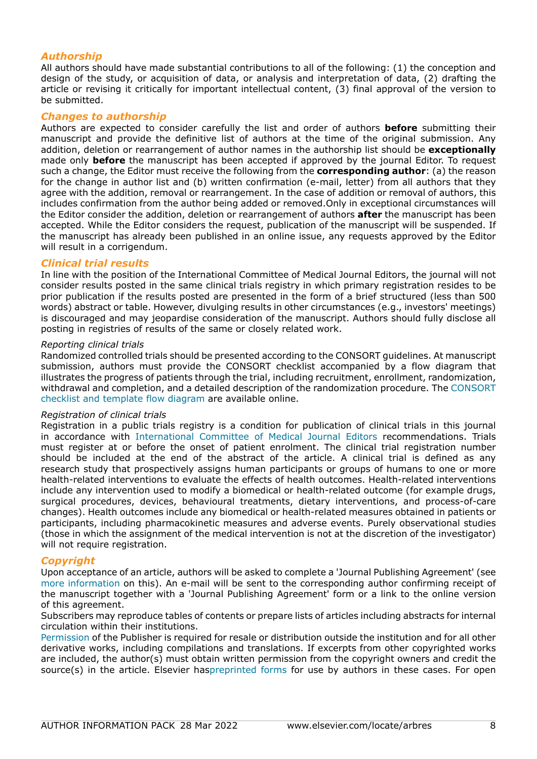## *Authorship*

All authors should have made substantial contributions to all of the following: (1) the conception and design of the study, or acquisition of data, or analysis and interpretation of data, (2) drafting the article or revising it critically for important intellectual content, (3) final approval of the version to be submitted.

## *Changes to authorship*

Authors are expected to consider carefully the list and order of authors **before** submitting their manuscript and provide the definitive list of authors at the time of the original submission. Any addition, deletion or rearrangement of author names in the authorship list should be **exceptionally** made only **before** the manuscript has been accepted if approved by the journal Editor. To request such a change, the Editor must receive the following from the **corresponding author**: (a) the reason for the change in author list and (b) written confirmation (e-mail, letter) from all authors that they agree with the addition, removal or rearrangement. In the case of addition or removal of authors, this includes confirmation from the author being added or removed.Only in exceptional circumstances will the Editor consider the addition, deletion or rearrangement of authors **after** the manuscript has been accepted. While the Editor considers the request, publication of the manuscript will be suspended. If the manuscript has already been published in an online issue, any requests approved by the Editor will result in a corrigendum.

## *Clinical trial results*

In line with the position of the International Committee of Medical Journal Editors, the journal will not consider results posted in the same clinical trials registry in which primary registration resides to be prior publication if the results posted are presented in the form of a brief structured (less than 500 words) abstract or table. However, divulging results in other circumstances (e.g., investors' meetings) is discouraged and may jeopardise consideration of the manuscript. Authors should fully disclose all posting in registries of results of the same or closely related work.

#### *Reporting clinical trials*

Randomized controlled trials should be presented according to the CONSORT guidelines. At manuscript submission, authors must provide the CONSORT checklist accompanied by a flow diagram that illustrates the progress of patients through the trial, including recruitment, enrollment, randomization, withdrawal and completion, and a detailed description of the randomization procedure. The [CONSORT](http://www.consort-statement.org) [checklist and template flow diagram](http://www.consort-statement.org) are available online.

## *Registration of clinical trials*

Registration in a public trials registry is a condition for publication of clinical trials in this journal in accordance with [International Committee of Medical Journal Editors](http://www.icmje.org) recommendations. Trials must register at or before the onset of patient enrolment. The clinical trial registration number should be included at the end of the abstract of the article. A clinical trial is defined as any research study that prospectively assigns human participants or groups of humans to one or more health-related interventions to evaluate the effects of health outcomes. Health-related interventions include any intervention used to modify a biomedical or health-related outcome (for example drugs, surgical procedures, devices, behavioural treatments, dietary interventions, and process-of-care changes). Health outcomes include any biomedical or health-related measures obtained in patients or participants, including pharmacokinetic measures and adverse events. Purely observational studies (those in which the assignment of the medical intervention is not at the discretion of the investigator) will not require registration.

## *Copyright*

Upon acceptance of an article, authors will be asked to complete a 'Journal Publishing Agreement' (see [more information](https://www.elsevier.com/copyright) on this). An e-mail will be sent to the corresponding author confirming receipt of the manuscript together with a 'Journal Publishing Agreement' form or a link to the online version of this agreement.

Subscribers may reproduce tables of contents or prepare lists of articles including abstracts for internal circulation within their institutions.

[Permission](https://www.elsevier.com/permissions) of the Publisher is required for resale or distribution outside the institution and for all other derivative works, including compilations and translations. If excerpts from other copyrighted works are included, the author(s) must obtain written permission from the copyright owners and credit the source(s) in the article. Elsevier ha[spreprinted forms](https://www.elsevier.com/__data/assets/word_doc/0007/98656/Permission-Request-Form.docx) for use by authors in these cases. For open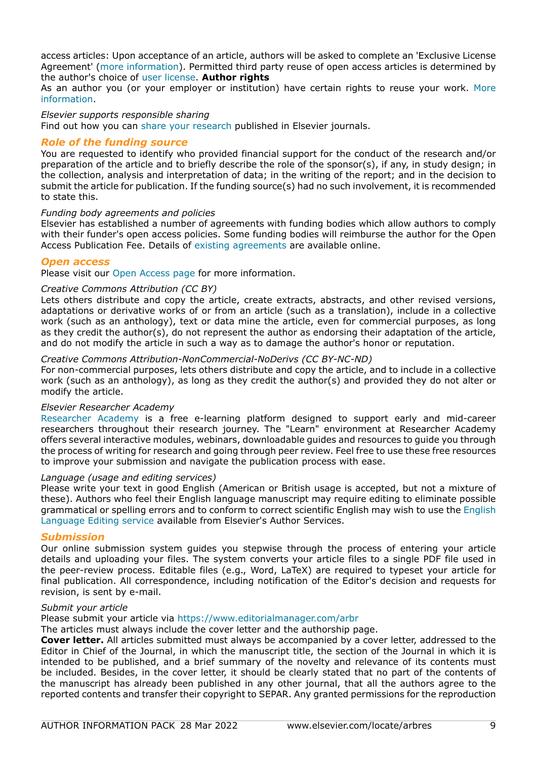access articles: Upon acceptance of an article, authors will be asked to complete an 'Exclusive License Agreement' [\(more information](https://www.elsevier.com/about/company-information/policies/copyright)). Permitted third party reuse of open access articles is determined by the author's choice of [user license.](https://www.elsevier.com/openaccesslicenses) **Author rights**

As an author you (or your employer or institution) have certain rights to reuse your work. [More](https://www.elsevier.com/copyright) [information](https://www.elsevier.com/copyright).

## *Elsevier supports responsible sharing*

Find out how you can [share your research](https://www.elsevier.com/authors/journal-authors/submit-your-paper/sharing-and-promoting-your-article) published in Elsevier journals.

## *Role of the funding source*

You are requested to identify who provided financial support for the conduct of the research and/or preparation of the article and to briefly describe the role of the sponsor(s), if any, in study design; in the collection, analysis and interpretation of data; in the writing of the report; and in the decision to submit the article for publication. If the funding source(s) had no such involvement, it is recommended to state this.

## *Funding body agreements and policies*

Elsevier has established a number of agreements with funding bodies which allow authors to comply with their funder's open access policies. Some funding bodies will reimburse the author for the Open Access Publication Fee. Details of [existing agreements](https://www.elsevier.com/about/open-science/open-access/agreements) are available online.

## *Open access*

Please visit our [Open Access page](https://www.elsevier.com/journals/archivos-de-bronconeumologia/0300-2896/open-access-options) for more information.

## *Creative Commons Attribution (CC BY)*

Lets others distribute and copy the article, create extracts, abstracts, and other revised versions, adaptations or derivative works of or from an article (such as a translation), include in a collective work (such as an anthology), text or data mine the article, even for commercial purposes, as long as they credit the author(s), do not represent the author as endorsing their adaptation of the article, and do not modify the article in such a way as to damage the author's honor or reputation.

## *Creative Commons Attribution-NonCommercial-NoDerivs (CC BY-NC-ND)*

For non-commercial purposes, lets others distribute and copy the article, and to include in a collective work (such as an anthology), as long as they credit the author(s) and provided they do not alter or modify the article.

## *Elsevier Researcher Academy*

[Researcher Academy](https://researcheracademy.elsevier.com/) is a free e-learning platform designed to support early and mid-career researchers throughout their research journey. The "Learn" environment at Researcher Academy offers several interactive modules, webinars, downloadable guides and resources to guide you through the process of writing for research and going through peer review. Feel free to use these free resources to improve your submission and navigate the publication process with ease.

## *Language (usage and editing services)*

Please write your text in good English (American or British usage is accepted, but not a mixture of these). Authors who feel their English language manuscript may require editing to eliminate possible grammatical or spelling errors and to conform to correct scientific English may wish to use the [English](https://webshop.elsevier.com/language-editing-services/language-editing/) [Language Editing service](https://webshop.elsevier.com/language-editing-services/language-editing/) available from Elsevier's Author Services.

## *Submission*

Our online submission system guides you stepwise through the process of entering your article details and uploading your files. The system converts your article files to a single PDF file used in the peer-review process. Editable files (e.g., Word, LaTeX) are required to typeset your article for final publication. All correspondence, including notification of the Editor's decision and requests for revision, is sent by e-mail.

## *Submit your article*

Please submit your article via [https://www.editorialmanager.com/arbr](https://www.editorialmanager.com/)

The articles must always include the cover letter and the authorship page.

**Cover letter.** All articles submitted must always be accompanied by a cover letter, addressed to the Editor in Chief of the Journal, in which the manuscript title, the section of the Journal in which it is intended to be published, and a brief summary of the novelty and relevance of its contents must be included. Besides, in the cover letter, it should be clearly stated that no part of the contents of the manuscript has already been published in any other journal, that all the authors agree to the reported contents and transfer their copyright to SEPAR. Any granted permissions for the reproduction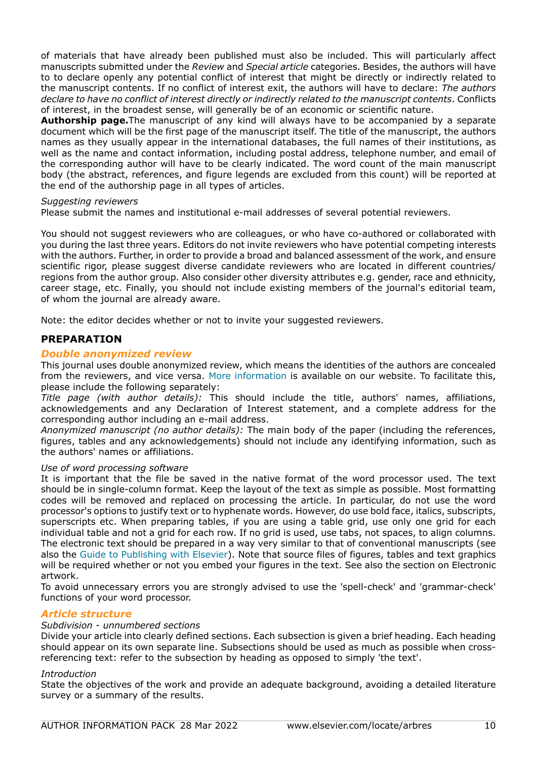of materials that have already been published must also be included. This will particularly affect manuscripts submitted under the *Review* and *Special article* categories. Besides, the authors will have to to declare openly any potential conflict of interest that might be directly or indirectly related to the manuscript contents. If no conflict of interest exit, the authors will have to declare: *The authors declare to have no conflict of interest directly or indirectly related to the manuscript contents*. Conflicts of interest, in the broadest sense, will generally be of an economic or scientific nature.

**Authorship page.**The manuscript of any kind will always have to be accompanied by a separate document which will be the first page of the manuscript itself. The title of the manuscript, the authors names as they usually appear in the international databases, the full names of their institutions, as well as the name and contact information, including postal address, telephone number, and email of the corresponding author will have to be clearly indicated. The word count of the main manuscript body (the abstract, references, and figure legends are excluded from this count) will be reported at the end of the authorship page in all types of articles.

#### *Suggesting reviewers*

Please submit the names and institutional e-mail addresses of several potential reviewers.

You should not suggest reviewers who are colleagues, or who have co-authored or collaborated with you during the last three years. Editors do not invite reviewers who have potential competing interests with the authors. Further, in order to provide a broad and balanced assessment of the work, and ensure scientific rigor, please suggest diverse candidate reviewers who are located in different countries/ regions from the author group. Also consider other diversity attributes e.g. gender, race and ethnicity, career stage, etc. Finally, you should not include existing members of the journal's editorial team, of whom the journal are already aware.

Note: the editor decides whether or not to invite your suggested reviewers.

## **PREPARATION**

## *Double anonymized review*

This journal uses double anonymized review, which means the identities of the authors are concealed from the reviewers, and vice versa. [More information](https://www.elsevier.com/reviewers/what-is-peer-review) is available on our website. To facilitate this, please include the following separately:

*Title page (with author details):* This should include the title, authors' names, affiliations, acknowledgements and any Declaration of Interest statement, and a complete address for the corresponding author including an e-mail address.

*Anonymized manuscript (no author details):* The main body of the paper (including the references, figures, tables and any acknowledgements) should not include any identifying information, such as the authors' names or affiliations.

#### *Use of word processing software*

It is important that the file be saved in the native format of the word processor used. The text should be in single-column format. Keep the layout of the text as simple as possible. Most formatting codes will be removed and replaced on processing the article. In particular, do not use the word processor's options to justify text or to hyphenate words. However, do use bold face, italics, subscripts, superscripts etc. When preparing tables, if you are using a table grid, use only one grid for each individual table and not a grid for each row. If no grid is used, use tabs, not spaces, to align columns. The electronic text should be prepared in a way very similar to that of conventional manuscripts (see also the [Guide to Publishing with Elsevier\)](https://www.elsevier.com/authors/journal-authors/submit-your-paper). Note that source files of figures, tables and text graphics will be required whether or not you embed your figures in the text. See also the section on Electronic artwork.

To avoid unnecessary errors you are strongly advised to use the 'spell-check' and 'grammar-check' functions of your word processor.

## *Article structure*

#### *Subdivision - unnumbered sections*

Divide your article into clearly defined sections. Each subsection is given a brief heading. Each heading should appear on its own separate line. Subsections should be used as much as possible when crossreferencing text: refer to the subsection by heading as opposed to simply 'the text'.

#### *Introduction*

State the objectives of the work and provide an adequate background, avoiding a detailed literature survey or a summary of the results.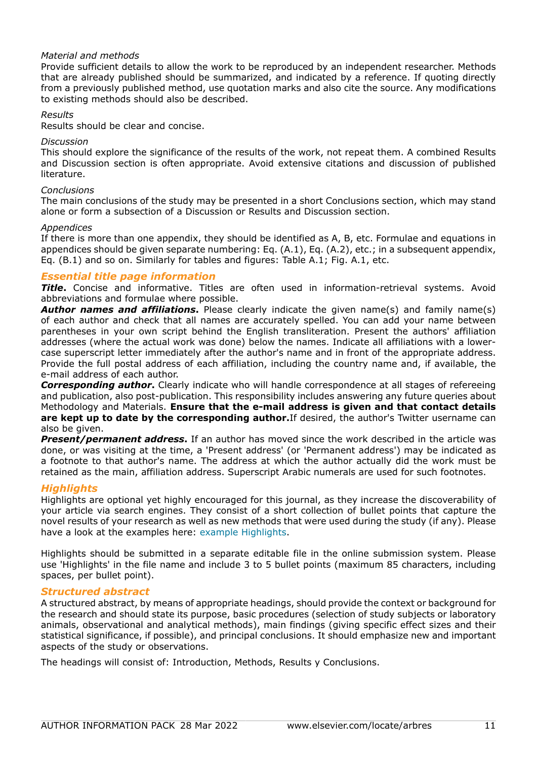## *Material and methods*

Provide sufficient details to allow the work to be reproduced by an independent researcher. Methods that are already published should be summarized, and indicated by a reference. If quoting directly from a previously published method, use quotation marks and also cite the source. Any modifications to existing methods should also be described.

## *Results*

Results should be clear and concise.

### *Discussion*

This should explore the significance of the results of the work, not repeat them. A combined Results and Discussion section is often appropriate. Avoid extensive citations and discussion of published literature.

## *Conclusions*

The main conclusions of the study may be presented in a short Conclusions section, which may stand alone or form a subsection of a Discussion or Results and Discussion section.

## *Appendices*

If there is more than one appendix, they should be identified as A, B, etc. Formulae and equations in appendices should be given separate numbering: Eq. (A.1), Eq. (A.2), etc.; in a subsequent appendix, Eq. (B.1) and so on. Similarly for tables and figures: Table A.1; Fig. A.1, etc.

## *Essential title page information*

*Title***.** Concise and informative. Titles are often used in information-retrieval systems. Avoid abbreviations and formulae where possible.

**Author names and affiliations.** Please clearly indicate the given name(s) and family name(s) of each author and check that all names are accurately spelled. You can add your name between parentheses in your own script behind the English transliteration. Present the authors' affiliation addresses (where the actual work was done) below the names. Indicate all affiliations with a lowercase superscript letter immediately after the author's name and in front of the appropriate address. Provide the full postal address of each affiliation, including the country name and, if available, the e-mail address of each author.

*Corresponding author***.** Clearly indicate who will handle correspondence at all stages of refereeing and publication, also post-publication. This responsibility includes answering any future queries about Methodology and Materials. **Ensure that the e-mail address is given and that contact details are kept up to date by the corresponding author.**If desired, the author's Twitter username can also be given.

*Present/permanent address***.** If an author has moved since the work described in the article was done, or was visiting at the time, a 'Present address' (or 'Permanent address') may be indicated as a footnote to that author's name. The address at which the author actually did the work must be retained as the main, affiliation address. Superscript Arabic numerals are used for such footnotes.

## *Highlights*

Highlights are optional yet highly encouraged for this journal, as they increase the discoverability of your article via search engines. They consist of a short collection of bullet points that capture the novel results of your research as well as new methods that were used during the study (if any). Please have a look at the examples here: [example Highlights.](https://www.elsevier.com/authors/journal-authors/highlights)

Highlights should be submitted in a separate editable file in the online submission system. Please use 'Highlights' in the file name and include 3 to 5 bullet points (maximum 85 characters, including spaces, per bullet point).

## *Structured abstract*

A structured abstract, by means of appropriate headings, should provide the context or background for the research and should state its purpose, basic procedures (selection of study subjects or laboratory animals, observational and analytical methods), main findings (giving specific effect sizes and their statistical significance, if possible), and principal conclusions. It should emphasize new and important aspects of the study or observations.

The headings will consist of: Introduction, Methods, Results y Conclusions.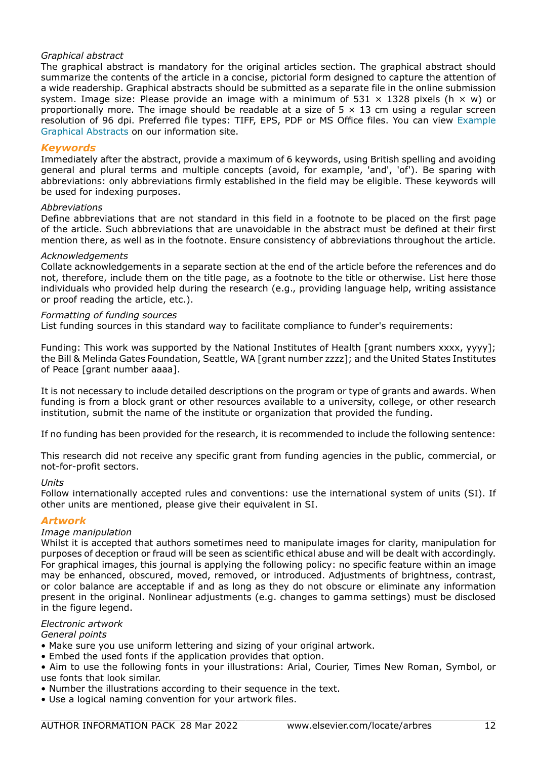## *Graphical abstract*

The graphical abstract is mandatory for the original articles section. The graphical abstract should summarize the contents of the article in a concise, pictorial form designed to capture the attention of a wide readership. Graphical abstracts should be submitted as a separate file in the online submission system. Image size: Please provide an image with a minimum of  $531 \times 1328$  pixels (h  $\times$  w) or proportionally more. The image should be readable at a size of  $5 \times 13$  cm using a regular screen resolution of 96 dpi. Preferred file types: TIFF, EPS, PDF or MS Office files. You can view [Example](https://www.elsevier.com/graphicalabstracts) [Graphical Abstracts](https://www.elsevier.com/graphicalabstracts) on our information site.

## *Keywords*

Immediately after the abstract, provide a maximum of 6 keywords, using British spelling and avoiding general and plural terms and multiple concepts (avoid, for example, 'and', 'of'). Be sparing with abbreviations: only abbreviations firmly established in the field may be eligible. These keywords will be used for indexing purposes.

## *Abbreviations*

Define abbreviations that are not standard in this field in a footnote to be placed on the first page of the article. Such abbreviations that are unavoidable in the abstract must be defined at their first mention there, as well as in the footnote. Ensure consistency of abbreviations throughout the article.

#### *Acknowledgements*

Collate acknowledgements in a separate section at the end of the article before the references and do not, therefore, include them on the title page, as a footnote to the title or otherwise. List here those individuals who provided help during the research (e.g., providing language help, writing assistance or proof reading the article, etc.).

#### *Formatting of funding sources*

List funding sources in this standard way to facilitate compliance to funder's requirements:

Funding: This work was supported by the National Institutes of Health [grant numbers xxxx, yyyy]; the Bill & Melinda Gates Foundation, Seattle, WA [grant number zzzz]; and the United States Institutes of Peace [grant number aaaa].

It is not necessary to include detailed descriptions on the program or type of grants and awards. When funding is from a block grant or other resources available to a university, college, or other research institution, submit the name of the institute or organization that provided the funding.

If no funding has been provided for the research, it is recommended to include the following sentence:

This research did not receive any specific grant from funding agencies in the public, commercial, or not-for-profit sectors.

#### *Units*

Follow internationally accepted rules and conventions: use the international system of units (SI). If other units are mentioned, please give their equivalent in SI.

## *Artwork*

## *Image manipulation*

Whilst it is accepted that authors sometimes need to manipulate images for clarity, manipulation for purposes of deception or fraud will be seen as scientific ethical abuse and will be dealt with accordingly. For graphical images, this journal is applying the following policy: no specific feature within an image may be enhanced, obscured, moved, removed, or introduced. Adjustments of brightness, contrast, or color balance are acceptable if and as long as they do not obscure or eliminate any information present in the original. Nonlinear adjustments (e.g. changes to gamma settings) must be disclosed in the figure legend.

## *Electronic artwork*

## *General points*

- Make sure you use uniform lettering and sizing of your original artwork.
- Embed the used fonts if the application provides that option.
- Aim to use the following fonts in your illustrations: Arial, Courier, Times New Roman, Symbol, or use fonts that look similar.
- Number the illustrations according to their sequence in the text.
- Use a logical naming convention for your artwork files.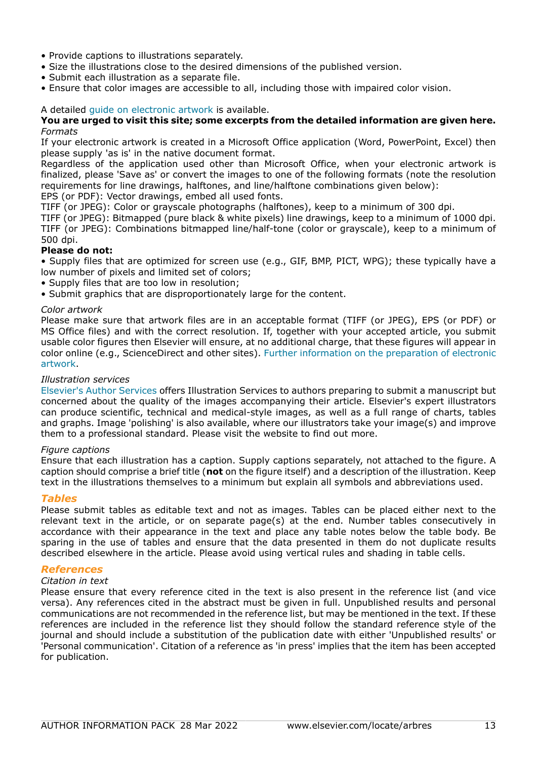- Provide captions to illustrations separately.
- Size the illustrations close to the desired dimensions of the published version.
- Submit each illustration as a separate file.
- Ensure that color images are accessible to all, including those with impaired color vision.

### A detailed [guide on electronic artwork](https://www.elsevier.com/authors/author-schemas/artwork-and-media-instructions) is available.

#### **You are urged to visit this site; some excerpts from the detailed information are given here.** *Formats*

If your electronic artwork is created in a Microsoft Office application (Word, PowerPoint, Excel) then please supply 'as is' in the native document format.

Regardless of the application used other than Microsoft Office, when your electronic artwork is finalized, please 'Save as' or convert the images to one of the following formats (note the resolution requirements for line drawings, halftones, and line/halftone combinations given below):

EPS (or PDF): Vector drawings, embed all used fonts.

TIFF (or JPEG): Color or grayscale photographs (halftones), keep to a minimum of 300 dpi.

TIFF (or JPEG): Bitmapped (pure black & white pixels) line drawings, keep to a minimum of 1000 dpi. TIFF (or JPEG): Combinations bitmapped line/half-tone (color or grayscale), keep to a minimum of 500 dpi.

## **Please do not:**

• Supply files that are optimized for screen use (e.g., GIF, BMP, PICT, WPG); these typically have a low number of pixels and limited set of colors;

- Supply files that are too low in resolution;
- Submit graphics that are disproportionately large for the content.

#### *Color artwork*

Please make sure that artwork files are in an acceptable format (TIFF (or JPEG), EPS (or PDF) or MS Office files) and with the correct resolution. If, together with your accepted article, you submit usable color figures then Elsevier will ensure, at no additional charge, that these figures will appear in color online (e.g., ScienceDirect and other sites). [Further information on the preparation of electronic](https://www.elsevier.com/authors/author-schemas/artwork-and-media-instructions) [artwork.](https://www.elsevier.com/authors/author-schemas/artwork-and-media-instructions)

### *Illustration services*

[Elsevier's Author Services](https://webshop.elsevier.com/illustration-services/) offers Illustration Services to authors preparing to submit a manuscript but concerned about the quality of the images accompanying their article. Elsevier's expert illustrators can produce scientific, technical and medical-style images, as well as a full range of charts, tables and graphs. Image 'polishing' is also available, where our illustrators take your image(s) and improve them to a professional standard. Please visit the website to find out more.

#### *Figure captions*

Ensure that each illustration has a caption. Supply captions separately, not attached to the figure. A caption should comprise a brief title (**not** on the figure itself) and a description of the illustration. Keep text in the illustrations themselves to a minimum but explain all symbols and abbreviations used.

## *Tables*

Please submit tables as editable text and not as images. Tables can be placed either next to the relevant text in the article, or on separate page(s) at the end. Number tables consecutively in accordance with their appearance in the text and place any table notes below the table body. Be sparing in the use of tables and ensure that the data presented in them do not duplicate results described elsewhere in the article. Please avoid using vertical rules and shading in table cells.

## *References*

## *Citation in text*

Please ensure that every reference cited in the text is also present in the reference list (and vice versa). Any references cited in the abstract must be given in full. Unpublished results and personal communications are not recommended in the reference list, but may be mentioned in the text. If these references are included in the reference list they should follow the standard reference style of the journal and should include a substitution of the publication date with either 'Unpublished results' or 'Personal communication'. Citation of a reference as 'in press' implies that the item has been accepted for publication.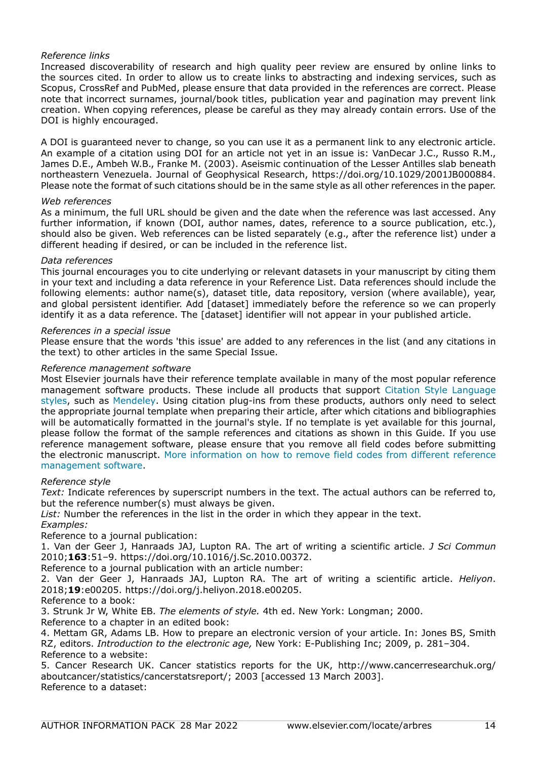## *Reference links*

Increased discoverability of research and high quality peer review are ensured by online links to the sources cited. In order to allow us to create links to abstracting and indexing services, such as Scopus, CrossRef and PubMed, please ensure that data provided in the references are correct. Please note that incorrect surnames, journal/book titles, publication year and pagination may prevent link creation. When copying references, please be careful as they may already contain errors. Use of the DOI is highly encouraged.

A DOI is guaranteed never to change, so you can use it as a permanent link to any electronic article. An example of a citation using DOI for an article not yet in an issue is: VanDecar J.C., Russo R.M., James D.E., Ambeh W.B., Franke M. (2003). Aseismic continuation of the Lesser Antilles slab beneath northeastern Venezuela. Journal of Geophysical Research, https://doi.org/10.1029/2001JB000884. Please note the format of such citations should be in the same style as all other references in the paper.

#### *Web references*

As a minimum, the full URL should be given and the date when the reference was last accessed. Any further information, if known (DOI, author names, dates, reference to a source publication, etc.), should also be given. Web references can be listed separately (e.g., after the reference list) under a different heading if desired, or can be included in the reference list.

#### *Data references*

This journal encourages you to cite underlying or relevant datasets in your manuscript by citing them in your text and including a data reference in your Reference List. Data references should include the following elements: author name(s), dataset title, data repository, version (where available), year, and global persistent identifier. Add [dataset] immediately before the reference so we can properly identify it as a data reference. The [dataset] identifier will not appear in your published article.

#### *References in a special issue*

Please ensure that the words 'this issue' are added to any references in the list (and any citations in the text) to other articles in the same Special Issue.

#### *Reference management software*

Most Elsevier journals have their reference template available in many of the most popular reference management software products. These include all products that support [Citation Style Language](https://citationstyles.org) [styles](https://citationstyles.org), such as [Mendeley.](https://www.mendeley.com/reference-management/reference-manager/) Using citation plug-ins from these products, authors only need to select the appropriate journal template when preparing their article, after which citations and bibliographies will be automatically formatted in the journal's style. If no template is yet available for this journal, please follow the format of the sample references and citations as shown in this Guide. If you use reference management software, please ensure that you remove all field codes before submitting the electronic manuscript. [More information on how to remove field codes from different reference](https://service.elsevier.com/app/answers/detail/a_id/26093/) [management software](https://service.elsevier.com/app/answers/detail/a_id/26093/).

## *Reference style*

*Text:* Indicate references by superscript numbers in the text. The actual authors can be referred to, but the reference number(s) must always be given.

*List:* Number the references in the list in the order in which they appear in the text.

*Examples:*

Reference to a journal publication:

1. Van der Geer J, Hanraads JAJ, Lupton RA. The art of writing a scientific article. *J Sci Commun* 2010;**163**:51–9. https://doi.org/10.1016/j.Sc.2010.00372.

Reference to a journal publication with an article number:

2. Van der Geer J, Hanraads JAJ, Lupton RA. The art of writing a scientific article. *Heliyon*. 2018;**19**:e00205. https://doi.org/j.heliyon.2018.e00205.

Reference to a book:

3. Strunk Jr W, White EB. *The elements of style.* 4th ed. New York: Longman; 2000.

Reference to a chapter in an edited book:

4. Mettam GR, Adams LB. How to prepare an electronic version of your article. In: Jones BS, Smith RZ, editors. *Introduction to the electronic age,* New York: E-Publishing Inc; 2009, p. 281–304. Reference to a website:

5. Cancer Research UK. Cancer statistics reports for the UK, http://www.cancerresearchuk.org/ aboutcancer/statistics/cancerstatsreport/; 2003 [accessed 13 March 2003]. Reference to a dataset: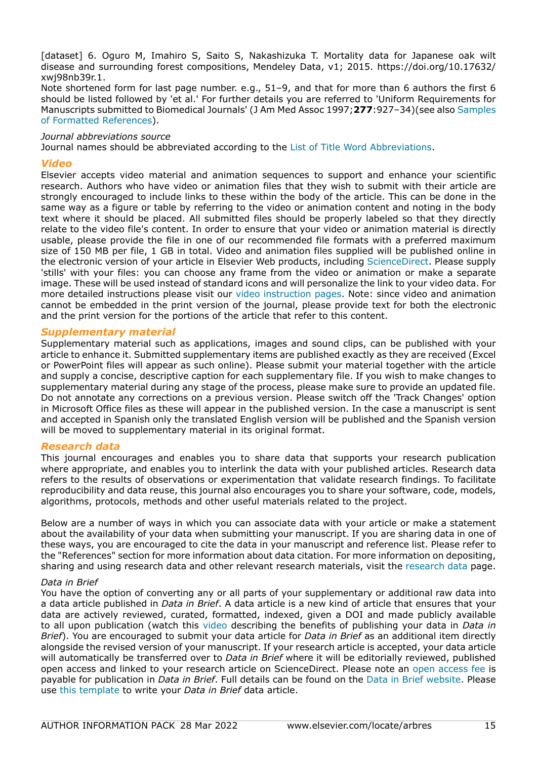[dataset] 6. Oguro M, Imahiro S, Saito S, Nakashizuka T. Mortality data for Japanese oak wilt disease and surrounding forest compositions, Mendeley Data, v1; 2015. https://doi.org/10.17632/ xwj98nb39r.1.

Note shortened form for last page number. e.g., 51-9, and that for more than 6 authors the first 6 should be listed followed by 'et al.' For further details you are referred to 'Uniform Requirements for Manuscripts submitted to Biomedical Journals' (J Am Med Assoc 1997;**277**:927–34)(see also [Samples](https://www.nlm.nih.gov/bsd/uniform_requirements.html) [of Formatted References\)](https://www.nlm.nih.gov/bsd/uniform_requirements.html).

## *Journal abbreviations source*

Journal names should be abbreviated according to the [List of Title Word Abbreviations.](https://www.issn.org/services/online-services/access-to-the-ltwa/)

## *Video*

Elsevier accepts video material and animation sequences to support and enhance your scientific research. Authors who have video or animation files that they wish to submit with their article are strongly encouraged to include links to these within the body of the article. This can be done in the same way as a figure or table by referring to the video or animation content and noting in the body text where it should be placed. All submitted files should be properly labeled so that they directly relate to the video file's content. In order to ensure that your video or animation material is directly usable, please provide the file in one of our recommended file formats with a preferred maximum size of 150 MB per file, 1 GB in total. Video and animation files supplied will be published online in the electronic version of your article in Elsevier Web products, including [ScienceDirect](https://www.sciencedirect.com). Please supply 'stills' with your files: you can choose any frame from the video or animation or make a separate image. These will be used instead of standard icons and will personalize the link to your video data. For more detailed instructions please visit our [video instruction pages.](https://www.elsevier.com/authors/author-schemas/artwork-and-media-instructions) Note: since video and animation cannot be embedded in the print version of the journal, please provide text for both the electronic and the print version for the portions of the article that refer to this content.

## *Supplementary material*

Supplementary material such as applications, images and sound clips, can be published with your article to enhance it. Submitted supplementary items are published exactly as they are received (Excel or PowerPoint files will appear as such online). Please submit your material together with the article and supply a concise, descriptive caption for each supplementary file. If you wish to make changes to supplementary material during any stage of the process, please make sure to provide an updated file. Do not annotate any corrections on a previous version. Please switch off the 'Track Changes' option in Microsoft Office files as these will appear in the published version. In the case a manuscript is sent and accepted in Spanish only the translated English version will be published and the Spanish version will be moved to supplementary material in its original format.

## *Research data*

This journal encourages and enables you to share data that supports your research publication where appropriate, and enables you to interlink the data with your published articles. Research data refers to the results of observations or experimentation that validate research findings. To facilitate reproducibility and data reuse, this journal also encourages you to share your software, code, models, algorithms, protocols, methods and other useful materials related to the project.

Below are a number of ways in which you can associate data with your article or make a statement about the availability of your data when submitting your manuscript. If you are sharing data in one of these ways, you are encouraged to cite the data in your manuscript and reference list. Please refer to the "References" section for more information about data citation. For more information on depositing, sharing and using research data and other relevant research materials, visit the [research data](https://www.elsevier.com/authors/tools-and-resources/research-data) page.

## *Data in Brief*

You have the option of converting any or all parts of your supplementary or additional raw data into a data article published in *Data in Brief*. A data article is a new kind of article that ensures that your data are actively reviewed, curated, formatted, indexed, given a DOI and made publicly available to all upon publication (watch this [video](https://www.journals.elsevier.com/data-in-brief/about-data-in-brief/video-discover-the-benefits-of-publishing-your-research-data) describing the benefits of publishing your data in *Data in Brief*). You are encouraged to submit your data article for *Data in Brief* as an additional item directly alongside the revised version of your manuscript. If your research article is accepted, your data article will automatically be transferred over to *Data in Brief* where it will be editorially reviewed, published open access and linked to your research article on ScienceDirect. Please note an [open access fee](https://www.elsevier.com/journals/data-in-brief/2352-3409/open-access-journal) is payable for publication in *Data in Brief*. Full details can be found on the [Data in Brief website.](https://www.journals.elsevier.com/data-in-brief) Please use [this template](https://www.elsevier.com/__data/assets/word_doc/0004/215779/Datainbrief_template.docx) to write your *Data in Brief* data article.